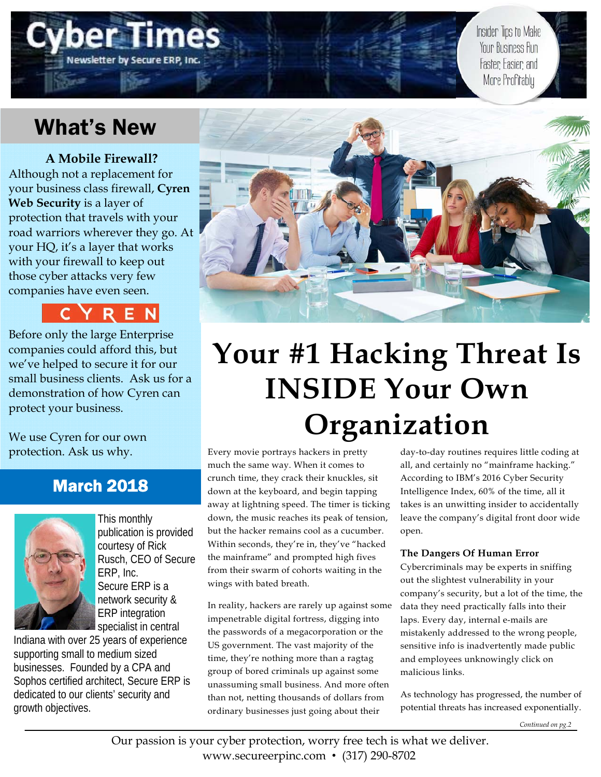# (ewsletter by Secure ERP

Insider Tips to Make Your Business Run Faster Easier and More Profitably

## What's New

**A Mobile Firewall?**  Although not a replacement for your business class firewall, **Cyren Web Security** is a layer of protection that travels with your road warriors wherever they go. At your HQ, it's a layer that works with your firewall to keep out those cyber attacks very few companies have even seen.



Before only the large Enterprise companies could afford this, but we've helped to secure it for our small business clients. Ask us for a demonstration of how Cyren can protect your business.

We use Cyren for our own protection. Ask us why.

## March 2018



This monthly publication is provided courtesy of Rick Rusch, CEO of Secure ERP, Inc. Secure ERP is a network security & ERP integration specialist in central

Indiana with over 25 years of experience supporting small to medium sized businesses. Founded by a CPA and Sophos certified architect, Secure ERP is dedicated to our clients' security and growth objectives.



# **Your #1 Hacking Threat Is INSIDE Your Own Organization**

Every movie portrays hackers in pretty much the same way. When it comes to crunch time, they crack their knuckles, sit down at the keyboard, and begin tapping away at lightning speed. The timer is ticking down, the music reaches its peak of tension, but the hacker remains cool as a cucumber. Within seconds, they're in, they've "hacked the mainframe" and prompted high fives from their swarm of cohorts waiting in the wings with bated breath.

In reality, hackers are rarely up against some impenetrable digital fortress, digging into the passwords of a megacorporation or the US government. The vast majority of the time, they're nothing more than a ragtag group of bored criminals up against some unassuming small business. And more often than not, netting thousands of dollars from ordinary businesses just going about their

day-to-day routines requires little coding at all, and certainly no "mainframe hacking." According to IBM's 2016 Cyber Security Intelligence Index, 60% of the time, all it takes is an unwitting insider to accidentally leave the company's digital front door wide open.

#### **The Dangers Of Human Error**

Cybercriminals may be experts in sniffing out the slightest vulnerability in your company's security, but a lot of the time, the data they need practically falls into their laps. Every day, internal e-mails are mistakenly addressed to the wrong people, sensitive info is inadvertently made public and employees unknowingly click on malicious links.

As technology has progressed, the number of potential threats has increased exponentially.

*Continued on pg.2*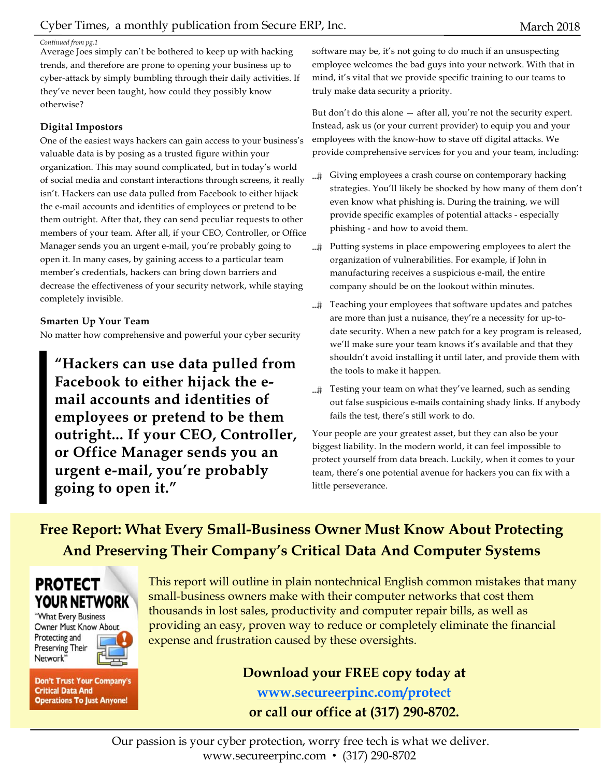#### *Continued from pg.1*

Average Joes simply can't be bothered to keep up with hacking trends, and therefore are prone to opening your business up to cyber-attack by simply bumbling through their daily activities. If they've never been taught, how could they possibly know otherwise?

#### **Digital Impostors**

One of the easiest ways hackers can gain access to your business's valuable data is by posing as a trusted figure within your organization. This may sound complicated, but in today's world of social media and constant interactions through screens, it really isn't. Hackers can use data pulled from Facebook to either hijack the e-mail accounts and identities of employees or pretend to be them outright. After that, they can send peculiar requests to other members of your team. After all, if your CEO, Controller, or Office Manager sends you an urgent e-mail, you're probably going to open it. In many cases, by gaining access to a particular team member's credentials, hackers can bring down barriers and decrease the effectiveness of your security network, while staying completely invisible.

#### **Smarten Up Your Team**

No matter how comprehensive and powerful your cyber security

**"Hackers can use data pulled from Facebook to either hijack the email accounts and identities of employees or pretend to be them outright... If your CEO, Controller, or Office Manager sends you an urgent e-mail, you're probably going to open it."** 

software may be, it's not going to do much if an unsuspecting employee welcomes the bad guys into your network. With that in mind, it's vital that we provide specific training to our teams to truly make data security a priority.

But don't do this alone — after all, you're not the security expert. Instead, ask us (or your current provider) to equip you and your employees with the know-how to stave off digital attacks. We provide comprehensive services for you and your team, including:

- Giving employees a crash course on contemporary hacking strategies. You'll likely be shocked by how many of them don't even know what phishing is. During the training, we will provide specific examples of potential attacks - especially phishing - and how to avoid them.
- Putting systems in place empowering employees to alert the organization of vulnerabilities. For example, if John in manufacturing receives a suspicious e-mail, the entire company should be on the lookout within minutes.
- ...# Teaching your employees that software updates and patches are more than just a nuisance, they're a necessity for up-todate security. When a new patch for a key program is released, we'll make sure your team knows it's available and that they shouldn't avoid installing it until later, and provide them with the tools to make it happen.
- ...# Testing your team on what they've learned, such as sending out false suspicious e-mails containing shady links. If anybody fails the test, there's still work to do.

Your people are your greatest asset, but they can also be your biggest liability. In the modern world, it can feel impossible to protect yourself from data breach. Luckily, when it comes to your team, there's one potential avenue for hackers you can fix with a little perseverance.

## **Free Report: What Every Small-Business Owner Must Know About Protecting And Preserving Their Company's Critical Data And Computer Systems**

## **PROTECT YOUR NETWORK**

"What Every Business Owner Must Know About Protecting and Preserving Their Network<sup>'</sup>



**Don't Trust Your Company's Critical Data And Operations To Just Anyone!** 

This report will outline in plain nontechnical English common mistakes that many small-business owners make with their computer networks that cost them thousands in lost sales, productivity and computer repair bills, as well as providing an easy, proven way to reduce or completely eliminate the financial expense and frustration caused by these oversights.

**Download your FREE copy today at** 

**www.secureerpinc.com/protect** 

**or call our office at (317) 290-8702.**

Our passion is your cyber protection, worry free tech is what we deliver. www.secureerpinc.com • (317) 290-8702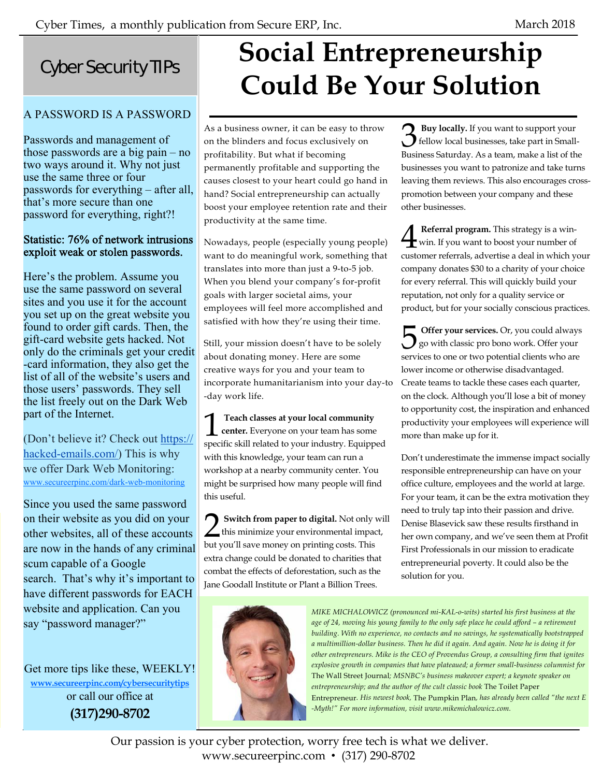**3 Buy locally.** If you want to support your<br>fellow local businesses, take part in Smallfellow local businesses, take part in Small-Business Saturday. As a team, make a list of the businesses you want to patronize and take turns leaving them reviews. This also encourages crosspromotion between your company and these

**4 Referral program.** This strategy is a win-<br>win. If you want to boost your number of win. If you want to boost your number of customer referrals, advertise a deal in which your company donates \$30 to a charity of your choice for every referral. This will quickly build your reputation, not only for a quality service or product, but for your socially conscious practices.

**5** Offer your services. Or, you could always<br>go with classic pro bono work. Offer your go with classic pro bono work. Offer your services to one or two potential clients who are lower income or otherwise disadvantaged. Create teams to tackle these cases each quarter, on the clock. Although you'll lose a bit of money to opportunity cost, the inspiration and enhanced productivity your employees will experience will

Don't underestimate the immense impact socially responsible entrepreneurship can have on your office culture, employees and the world at large. For your team, it can be the extra motivation they need to truly tap into their passion and drive. Denise Blasevick saw these results firsthand in her own company, and we've seen them at Profit First Professionals in our mission to eradicate entrepreneurial poverty. It could also be the

other businesses.

## Cyber Security TIPs

## A PASSWORD IS A PASSWORD

Passwords and management of those passwords are a big pain – no two ways around it. Why not just use the same three or four passwords for everything – after all, that's more secure than one password for everything, right?!

#### Statistic: 76% of network intrusions exploit weak or stolen passwords.

Here's the problem. Assume you use the same password on several sites and you use it for the account you set up on the great website you found to order gift cards. Then, the gift-card website gets hacked. Not only do the criminals get your credit -card information, they also get the list of all of the website's users and those users' passwords. They sell the list freely out on the Dark Web part of the Internet.

(Don't believe it? Check out https:// hacked-emails.com/) This is why we offer Dark Web Monitoring: www.secureerpinc.com/dark-web-monitoring

Since you used the same password on their website as you did on your other websites, all of these accounts are now in the hands of any criminal scum capable of a Google search. That's why it's important to have different passwords for EACH website and application. Can you say "password manager?"

Get more tips like these, WEEKLY! **www.secureerpinc.com/cybersecuritytips** or call our office at **(317)290-8702**

## **Social Entrepreneurship Could Be Your Solution**

As a business owner, it can be easy to throw on the blinders and focus exclusively on profitability. But what if becoming permanently profitable and supporting the causes closest to your heart could go hand in hand? Social entrepreneurship can actually boost your employee retention rate and their productivity at the same time.

Nowadays, people (especially young people) want to do meaningful work, something that translates into more than just a 9-to-5 job. When you blend your company's for-profit goals with larger societal aims, your employees will feel more accomplished and satisfied with how they're using their time.

Still, your mission doesn't have to be solely about donating money. Here are some creative ways for you and your team to incorporate humanitarianism into your day-to -day work life.

**1 Teach classes at your local community**<br>**center.** Everyone on your team has some<br>**creative** ability related to your industry. Equipment **center.** Everyone on your team has some specific skill related to your industry. Equipped with this knowledge, your team can run a workshop at a nearby community center. You might be surprised how many people will find this useful.

Switch from paper to digital. Not only will this minimize your environmental impact, but you'll save money on printing costs. This extra change could be donated to charities that combat the effects of deforestation, such as the Jane Goodall Institute or Plant a Billion Trees.



*MIKE MICHALOWICZ (pronounced mi-KAL-o-wits) started his first business at the age of 24, moving his young family to the only safe place he could afford – a retirement building. With no experience, no contacts and no savings, he systematically bootstrapped a multimillion-dollar business. Then he did it again. And again. Now he is doing it for other entrepreneurs. Mike is the CEO of Provendus Group, a consulting firm that ignites explosive growth in companies that have plateaued; a former small-business columnist for*  The Wall Street Journal*; MSNBC's business makeover expert; a keynote speaker on entrepreneurship; and the author of the cult classic book* The Toilet Paper Entrepreneur*. His newest book,* The Pumpkin Plan*, has already been called "the next E -Myth!" For more information, visit www.mikemichalowicz.com.* 

solution for you.

more than make up for it.

Our passion is your cyber protection, worry free tech is what we deliver. www.secureerpinc.com • (317) 290-8702